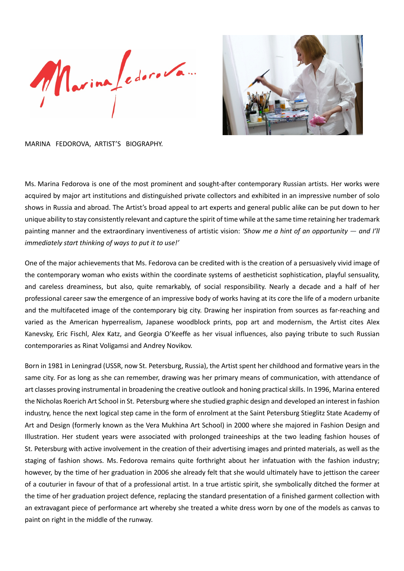Marinafedoro Van



MARINA FEDOROVA, ARTIST'S BIOGRAPHY.

Ms. Marina Fedorova is one of the most prominent and sought-after contemporary Russian artists. Her works were acquired by major art institutions and distinguished private collectors and exhibited in an impressive number of solo shows in Russia and abroad. The Artist's broad appeal to art experts and general public alike can be put down to her unique ability to stay consistently relevant and capture the spirit of time while at the same time retaining her trademark painting manner and the extraordinary inventiveness of artistic vision: *'Show me a hint of an opportunity — and I'll immediately start thinking of ways to put it to use!'*

One of the major achievements that Ms. Fedorova can be credited with is the creation of a persuasively vivid image of the contemporary woman who exists within the coordinate systems of aestheticist sophistication, playful sensuality, and careless dreaminess, but also, quite remarkably, of social responsibility. Nearly a decade and a half of her professional career saw the emergence of an impressive body of works having at its core the life of a modern urbanite and the multifaceted image of the contemporary big city. Drawing her inspiration from sources as far-reaching and varied as the American hyperrealism, Japanese woodblock prints, pop art and modernism, the Artist cites Alex Kanevsky, Eric Fischl, Alex Katz, and Georgia O'Keeffe as her visual influences, also paying tribute to such Russian contemporaries as Rinat Voligamsi and Andrey Novikov.

Born in 1981 in Leningrad (USSR, now St. Petersburg, Russia), the Artist spent her childhood and formative years in the same city. For as long as she can remember, drawing was her primary means of communication, with attendance of art classes proving instrumental in broadening the creative outlook and honing practicalskills. In 1996, Marina entered the Nicholas Roerich Art School in St. Petersburg where she studied graphic design and developed an interest in fashion industry, hence the next logical step came in the form of enrolment at the Saint Petersburg Stieglitz State Academy of Art and Design (formerly known as the Vera Mukhina Art School) in 2000 where she majored in Fashion Design and Illustration. Her student years were associated with prolonged traineeships at the two leading fashion houses of St. Petersburg with active involvement in the creation of their advertising images and printed materials, as well as the staging of fashion shows. Ms. Fedorova remains quite forthright about her infatuation with the fashion industry; however, by the time of her graduation in 2006 she already felt that she would ultimately have to jettison the career of a couturier in favour of that of a professional artist. In a true artistic spirit, she symbolically ditched the former at the time of her graduation project defence, replacing the standard presentation of a finished garment collection with an extravagant piece of performance art whereby she treated a white dress worn by one of the models as canvas to paint on right in the middle of the runway.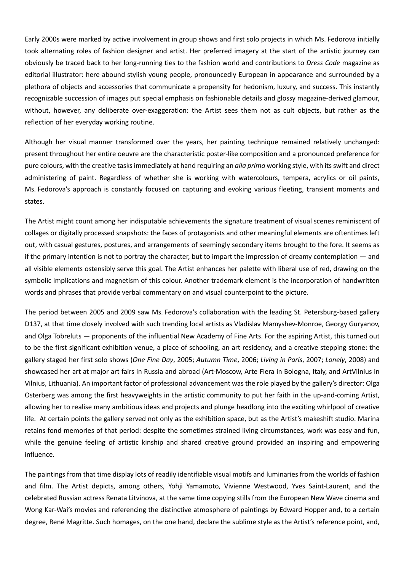Early 2000s were marked by active involvement in group shows and first solo projects in which Ms. Fedorova initially took alternating roles of fashion designer and artist. Her preferred imagery at the start of the artistic journey can obviously be traced back to her long-running ties to the fashion world and contributions to *Dress Code* magazine as editorial illustrator: here abound stylish young people, pronouncedly European in appearance and surrounded by a plethora of objects and accessories that communicate a propensity for hedonism, luxury, and success. This instantly recognizable succession of images put special emphasis on fashionable details and glossy magazine-derived glamour, without, however, any deliberate over-exaggeration: the Artist sees them not as cult objects, but rather as the reflection of her everyday working routine.

Although her visual manner transformed over the years, her painting technique remained relatively unchanged: present throughout her entire oeuvre are the characteristic poster-like composition and a pronounced preference for pure colours, with the creative tasksimmediately at hand requiring an *alla prima* working style, with itsswift and direct administering of paint. Regardless of whether she is working with watercolours, tempera, acrylics or oil paints, Ms. Fedorova's approach is constantly focused on capturing and evoking various fleeting, transient moments and states.

The Artist might count among her indisputable achievements the signature treatment of visual scenes reminiscent of collages or digitally processed snapshots: the faces of protagonists and other meaningful elements are oftentimes left out, with casual gestures, postures, and arrangements of seemingly secondary items brought to the fore. It seems as if the primary intention is not to portray the character, but to impart the impression of dreamy contemplation — and all visible elements ostensibly serve this goal. The Artist enhances her palette with liberal use of red, drawing on the symbolic implications and magnetism of this colour. Another trademark element is the incorporation of handwritten words and phrases that provide verbal commentary on and visual counterpoint to the picture.

The period between 2005 and 2009 saw Ms. Fedorova's collaboration with the leading St. Petersburg-based gallery D137, at that time closely involved with such trending local artists as Vladislav Mamyshev-Monroe, Georgy Guryanov, and Olga Tobreluts — proponents of the influential New Academy of Fine Arts. For the aspiring Artist, this turned out to be the first significant exhibition venue, a place of schooling, an art residency, and a creative stepping stone: the gallery staged her first solo shows (*One Fine Day*, 2005; *Autumn Time*, 2006; *Living in Paris*, 2007; *Lonely*, 2008) and showcased her art at major art fairs in Russia and abroad (Art-Moscow, Arte Fiera in Bologna, Italy, and ArtVilnius in Vilnius, Lithuania). An important factor of professional advancement was the role played by the gallery's director: Olga Osterberg was among the first heavyweights in the artistic community to put her faith in the up-and-coming Artist, allowing her to realise many ambitious ideas and projects and plunge headlong into the exciting whirlpool of creative life. At certain points the gallery served not only as the exhibition space, but as the Artist's makeshift studio. Marina retains fond memories of that period: despite the sometimes strained living circumstances, work was easy and fun, while the genuine feeling of artistic kinship and shared creative ground provided an inspiring and empowering influence.

The paintings from that time display lots of readily identifiable visual motifs and luminaries from the worlds of fashion and film. The Artist depicts, among others, Yohji Yamamoto, Vivienne Westwood, Yves Saint-Laurent, and the celebrated Russian actress Renata Litvinova, at the same time copying stills from the European New Wave cinema and Wong Kar-Wai's movies and referencing the distinctive atmosphere of paintings by Edward Hopper and, to a certain degree, René Magritte. Such homages, on the one hand, declare the sublime style as the Artist's reference point, and,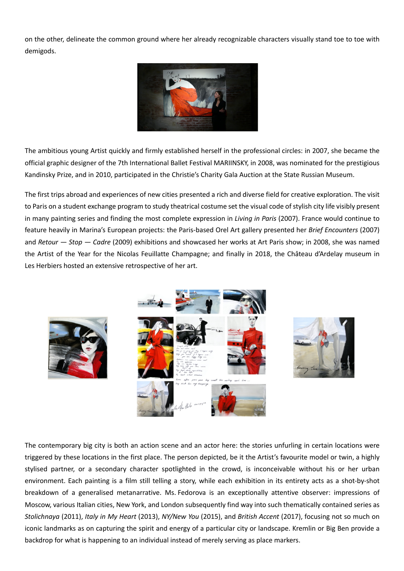on the other, delineate the common ground where her already recognizable characters visually stand toe to toe with demigods.



The ambitious young Artist quickly and firmly established herself in the professional circles: in 2007, she became the official graphic designer of the 7th International Ballet Festival MARIINSKY, in 2008, was nominated for the prestigious Kandinsky Prize, and in 2010, participated in the Christie's Charity Gala Auction at the State Russian Museum.

The first trips abroad and experiences of new cities presented a rich and diverse field for creative exploration. The visit to Paris on a student exchange program to study theatrical costume set the visual code of stylish city life visibly present in many painting series and finding the most complete expression in *Living in Paris* (2007). France would continue to feature heavily in Marina's European projects: the Paris-based Orel Art gallery presented her *Brief Encounters* (2007) and *Retour — Stop — Cadre* (2009) exhibitions and showcased her works at Art Paris show; in 2008, she was named the Artist of the Year for the Nicolas Feuillatte Champagne; and finally in 2018, the Château d'Ardelay museum in Les Herbiers hosted an extensive retrospective of her art.



The contemporary big city is both an action scene and an actor here: the stories unfurling in certain locations were triggered by these locations in the first place. The person depicted, be it the Artist's favourite model or twin, a highly stylised partner, or a secondary character spotlighted in the crowd, is inconceivable without his or her urban environment. Each painting is a film still telling a story, while each exhibition in its entirety acts as a shot-by-shot breakdown of a generalised metanarrative. Ms. Fedorova is an exceptionally attentive observer: impressions of Moscow, various Italian cities, New York, and London subsequently find way into such thematically contained series as *Stolichnaya* (2011), *Italy in My Heart* (2013), *NY/New You* (2015), and *British Accent* (2017), focusing not so much on iconic landmarks as on capturing the spirit and energy of a particular city or landscape. Kremlin or Big Ben provide a backdrop for what is happening to an individual instead of merely serving as place markers.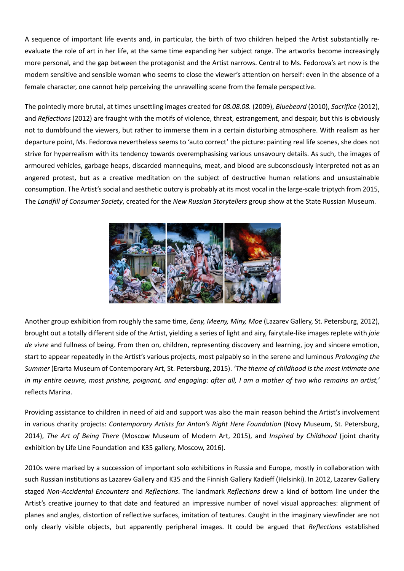A sequence of important life events and, in particular, the birth of two children helped the Artist substantially reevaluate the role of art in her life, at the same time expanding her subject range. The artworks become increasingly more personal, and the gap between the protagonist and the Artist narrows. Central to Ms. Fedorova's art now is the modern sensitive and sensible woman who seems to close the viewer's attention on herself: even in the absence of a female character, one cannot help perceiving the unravelling scene from the female perspective.

The pointedly more brutal, at times unsettling images created for *08.08.08.* (2009), *Bluebeard* (2010), *Sacrifice* (2012), and *Reflections* (2012) are fraught with the motifs of violence, threat, estrangement, and despair, but this is obviously not to dumbfound the viewers, but rather to immerse them in a certain disturbing atmosphere. With realism as her departure point, Ms. Fedorova nevertheless seems to 'auto correct' the picture: painting real life scenes, she does not strive for hyperrealism with its tendency towards overemphasising various unsavoury details. As such, the images of armoured vehicles, garbage heaps, discarded mannequins, meat, and blood are subconsciously interpreted not as an angered protest, but as a creative meditation on the subject of destructive human relations and unsustainable consumption. The Artist's social and aesthetic outcry is probably at its most vocal in the large-scale triptych from 2015, The *Landfill of Consumer Society*, created for the *New Russian Storytellers* group show at the State Russian Museum.



Another group exhibition from roughly the same time, *Eeny, Meeny, Miny, Moe* (Lazarev Gallery, St. Petersburg, 2012), brought out a totally different side of the Artist, yielding a series of light and airy, fairytale-like images replete with *joie de vivre* and fullness of being. From then on, children, representing discovery and learning, joy and sincere emotion, start to appear repeatedly in the Artist's various projects, most palpably so in the serene and luminous *Prolonging the Summer* (Erarta Museum of Contemporary Art, St. Petersburg, 2015). *'The theme of childhood isthe most intimate one* in my entire oeuvre, most pristine, poignant, and engaging: after all, I am a mother of two who remains an artist,' reflects Marina.

Providing assistance to children in need of aid and support was also the main reason behind the Artist's involvement in various charity projects: *Contemporary Artists for Anton's Right Here Foundation* (Novy Museum, St. Petersburg, 2014), *The Art of Being There* (Moscow Museum of Modern Art, 2015), and *Inspired by Childhood* (joint charity exhibition by Life Line Foundation and K35 gallery, Moscow, 2016).

2010s were marked by a succession of important solo exhibitions in Russia and Europe, mostly in collaboration with such Russian institutions as Lazarev Gallery and K35 and the Finnish Gallery Kadieff (Helsinki). In 2012, Lazarev Gallery staged *Non-Accidental Encounters* and *Reflections*. The landmark *Reflections* drew a kind of bottom line under the Artist's creative journey to that date and featured an impressive number of novel visual approaches: alignment of planes and angles, distortion of reflective surfaces, imitation of textures. Caught in the imaginary viewfinder are not only clearly visible objects, but apparently peripheral images. It could be argued that *Reflections* established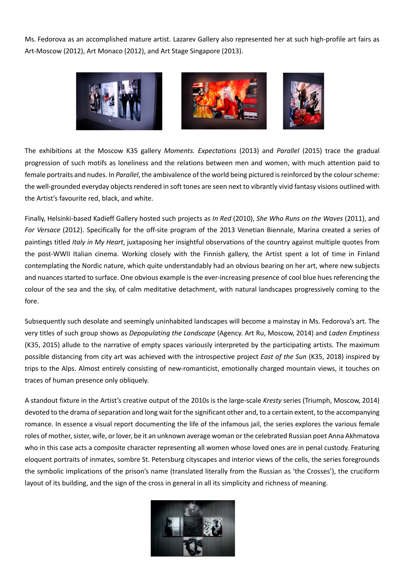Ms. Fedorova as an accomplished mature artist. Lazarev Gallery also represented her at such high-profile art fairs as Art-Moscow (2012), Art Monaco (2012), and Art Stage Singapore (2013).



The exhibitions at the Moscow K35 gallery *Moments. Expectations* (2013) and *Parallel* (2015) trace the gradual progression of such motifs as loneliness and the relations between men and women, with much attention paid to female portraits and nudes. In *Parallel*, the ambivalence of the world being pictured isreinforced by the colourscheme: the well-grounded everyday objects rendered in soft tones are seen next to vibrantly vivid fantasy visions outlined with the Artist's favourite red, black, and white.

Finally, Helsinki-based Kadieff Gallery hosted such projects as *In Red* (2010), *She Who Runs on the Waves* (2011), and *For Versace* (2012). Specifically for the off-site program of the 2013 Venetian Biennale, Marina created a series of paintings titled *Italy in My Heart*, juxtaposing her insightful observations of the country against multiple quotes from the post-WWII Italian cinema. Working closely with the Finnish gallery, the Artist spent a lot of time in Finland contemplating the Nordic nature, which quite understandably had an obvious bearing on her art, where new subjects and nuances started to surface. One obvious example is the ever-increasing presence of cool blue hues referencing the colour of the sea and the sky, of calm meditative detachment, with natural landscapes progressively coming to the fore.

Subsequently such desolate and seemingly uninhabited landscapes will become a mainstay in Ms. Fedorova's art. The very titles of such group shows as *Depopulating the Landscape* (Agency. Art Ru, Moscow, 2014) and *Laden Emptiness* (K35, 2015) allude to the narrative of empty spaces variously interpreted by the participating artists. The maximum possible distancing from city art was achieved with the introspective project *East of the Sun* (K35, 2018) inspired by trips to the Alps. Almost entirely consisting of new-romanticist, emotionally charged mountain views, it touches on traces of human presence only obliquely.

A standout fixture in the Artist's creative output of the 2010s is the large-scale *Kresty* series (Triumph, Moscow, 2014) devoted to the drama of separation and long wait for the significant other and, to a certain extent, to the accompanying romance. In essence a visual report documenting the life of the infamous jail, the series explores the various female roles of mother, sister, wife, or lover, be it an unknown average woman or the celebrated Russian poet Anna Akhmatova who in this case acts a composite character representing all women whose loved ones are in penal custody. Featuring eloquent portraits of inmates, sombre St. Petersburg cityscapes and interior views of the cells, the series foregrounds the symbolic implications of the prison's name (translated literally from the Russian as 'the Crosses'), the cruciform layout of its building, and the sign of the cross in general in all its simplicity and richness of meaning.